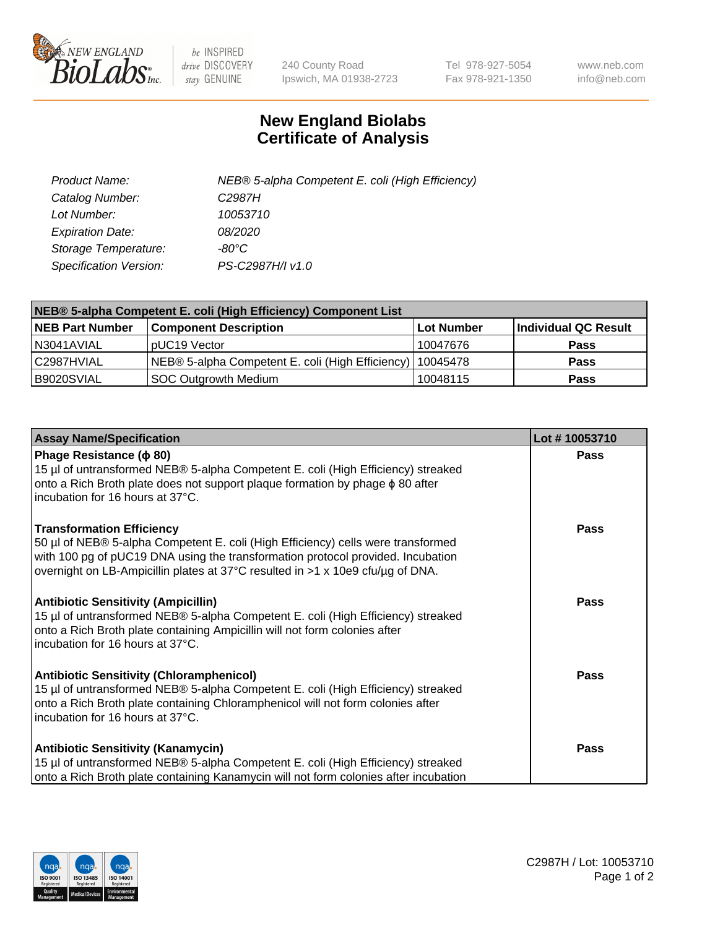

 $be$  INSPIRED drive DISCOVERY stay GENUINE

240 County Road Ipswich, MA 01938-2723 Tel 978-927-5054 Fax 978-921-1350 www.neb.com info@neb.com

## **New England Biolabs Certificate of Analysis**

| Product Name:                 | NEB® 5-alpha Competent E. coli (High Efficiency) |
|-------------------------------|--------------------------------------------------|
| Catalog Number:               | C <sub>2987</sub> H                              |
| Lot Number:                   | 10053710                                         |
| <b>Expiration Date:</b>       | <i>08/2020</i>                                   |
| Storage Temperature:          | -80°C                                            |
| <b>Specification Version:</b> | PS-C2987H/I v1.0                                 |

| NEB® 5-alpha Competent E. coli (High Efficiency) Component List |                                                             |                   |                      |  |
|-----------------------------------------------------------------|-------------------------------------------------------------|-------------------|----------------------|--|
| <b>NEB Part Number</b>                                          | <b>Component Description</b>                                | <b>Lot Number</b> | Individual QC Result |  |
| N3041AVIAL                                                      | pUC19 Vector                                                | 10047676          | <b>Pass</b>          |  |
| C2987HVIAL                                                      | NEB® 5-alpha Competent E. coli (High Efficiency)   10045478 |                   | <b>Pass</b>          |  |
| B9020SVIAL                                                      | SOC Outgrowth Medium                                        | 10048115          | <b>Pass</b>          |  |

| <b>Assay Name/Specification</b>                                                                                                                                                                                                                                                           | Lot #10053710 |
|-------------------------------------------------------------------------------------------------------------------------------------------------------------------------------------------------------------------------------------------------------------------------------------------|---------------|
| Phage Resistance ( $\phi$ 80)<br>15 µl of untransformed NEB® 5-alpha Competent E. coli (High Efficiency) streaked<br>onto a Rich Broth plate does not support plaque formation by phage $\phi$ 80 after<br>incubation for 16 hours at 37°C.                                               | Pass          |
| <b>Transformation Efficiency</b><br>50 µl of NEB® 5-alpha Competent E. coli (High Efficiency) cells were transformed<br>with 100 pg of pUC19 DNA using the transformation protocol provided. Incubation<br>overnight on LB-Ampicillin plates at 37°C resulted in >1 x 10e9 cfu/µg of DNA. | <b>Pass</b>   |
| <b>Antibiotic Sensitivity (Ampicillin)</b><br>15 µl of untransformed NEB® 5-alpha Competent E. coli (High Efficiency) streaked<br>onto a Rich Broth plate containing Ampicillin will not form colonies after<br>Incubation for 16 hours at 37°C.                                          | <b>Pass</b>   |
| <b>Antibiotic Sensitivity (Chloramphenicol)</b><br>15 µl of untransformed NEB® 5-alpha Competent E. coli (High Efficiency) streaked<br>onto a Rich Broth plate containing Chloramphenicol will not form colonies after<br>incubation for 16 hours at 37°C.                                | <b>Pass</b>   |
| <b>Antibiotic Sensitivity (Kanamycin)</b><br>15 µl of untransformed NEB® 5-alpha Competent E. coli (High Efficiency) streaked<br>onto a Rich Broth plate containing Kanamycin will not form colonies after incubation                                                                     | Pass          |